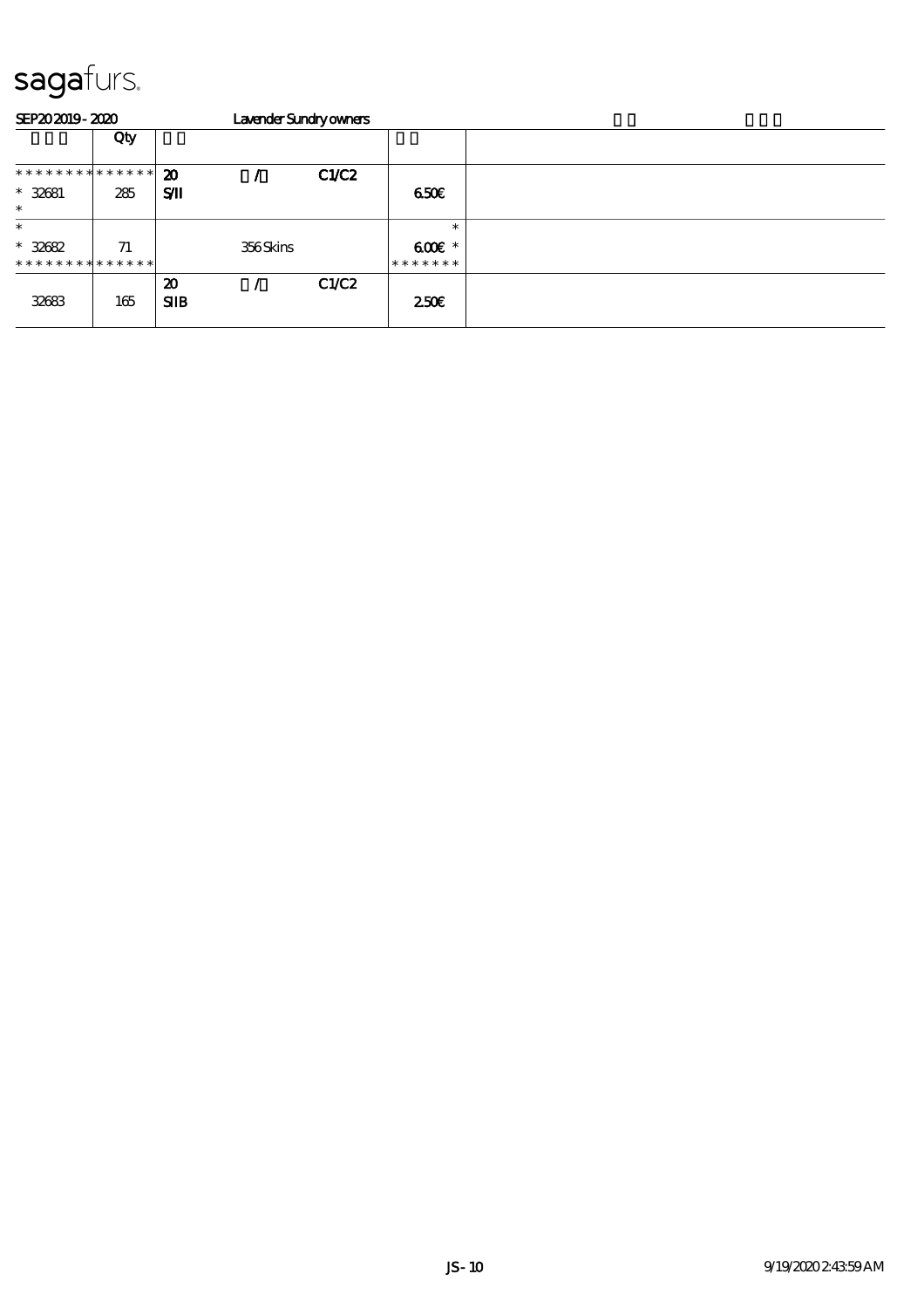| SEP202019-2020                           |     |                                    | Lavender Sundryowners |       |                           |  |  |  |  |  |  |
|------------------------------------------|-----|------------------------------------|-----------------------|-------|---------------------------|--|--|--|--|--|--|
|                                          | Qty |                                    |                       |       |                           |  |  |  |  |  |  |
| * * * * * * * * * * * * * * *            |     | 20                                 |                       | CLC2  |                           |  |  |  |  |  |  |
| $* 32681$<br>$\ast$                      | 285 | SЛ                                 |                       |       | 650E                      |  |  |  |  |  |  |
| $\ast$                                   |     |                                    |                       |       | $\ast$                    |  |  |  |  |  |  |
| $* 32682$<br>* * * * * * * * * * * * * * | 71  |                                    | 356Skins              |       | $600E$ *<br>* * * * * * * |  |  |  |  |  |  |
| 32683                                    | 165 | $\boldsymbol{\mathfrak{D}}$<br>SIB |                       | C1/C2 | 250                       |  |  |  |  |  |  |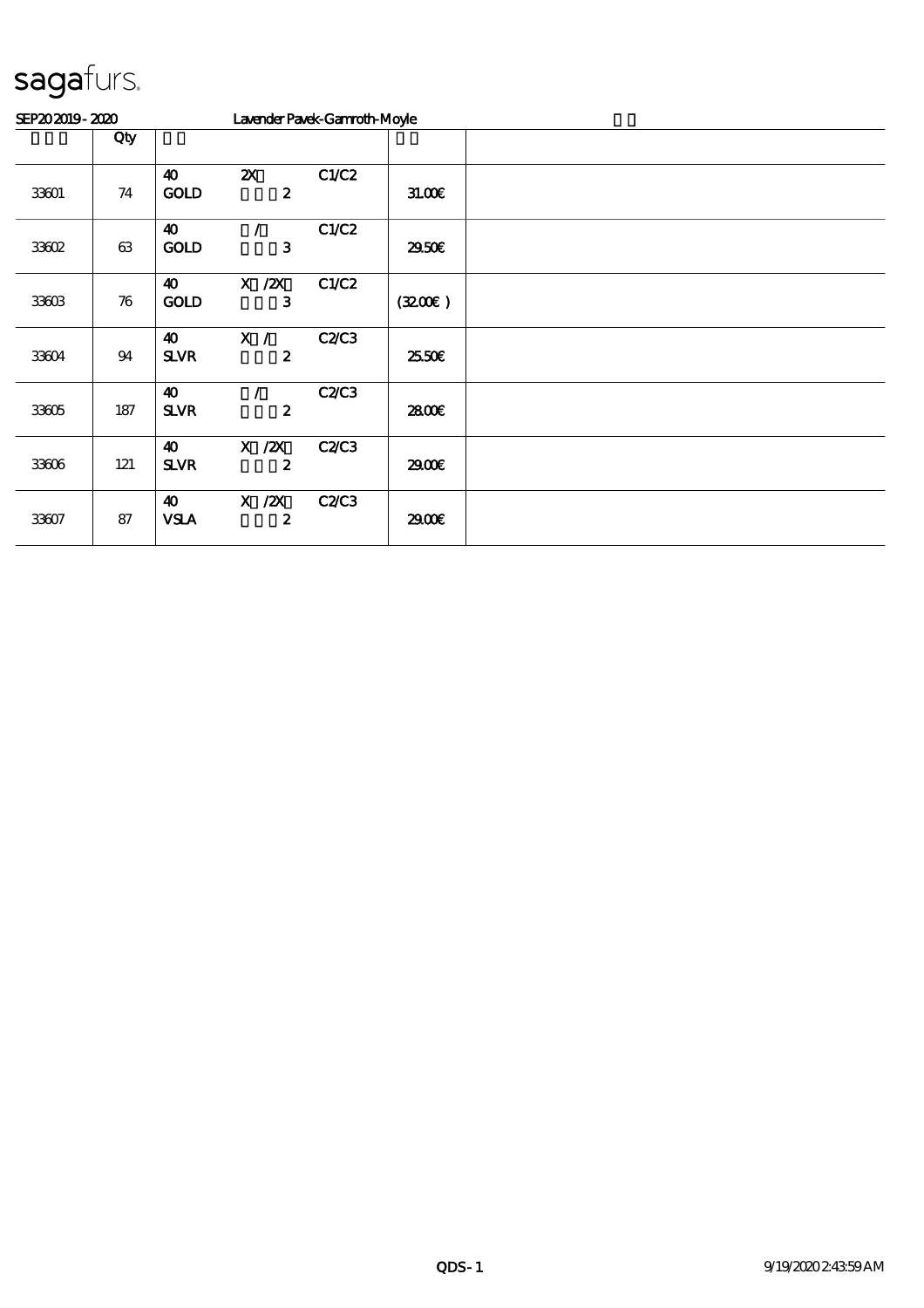| SEP202019-2020 |                    |                                      | Lavender Pavek-Gannoth-Moyle                  |       |        |  |
|----------------|--------------------|--------------------------------------|-----------------------------------------------|-------|--------|--|
|                | Qty                |                                      |                                               |       |        |  |
| 33601          | $7\!4$             | $\boldsymbol{\omega}$<br>GOLD        | $\boldsymbol{\mathsf{Z}}$<br>$\boldsymbol{z}$ | C1/C2 | 31.00E |  |
| 33602          | 63                 | $\boldsymbol{\omega}$<br><b>GOLD</b> | $\prime$<br>3                                 | C1/C2 | 2950E  |  |
| 33603          | $\boldsymbol{\pi}$ | $\boldsymbol{\omega}$<br><b>GOLD</b> | $X \, /ZX$<br>3                               | C1/C2 | (3200) |  |
| 33604          | 94                 | $\boldsymbol{\omega}$<br><b>SLVR</b> | X /<br>$\boldsymbol{z}$                       | C2C3  | 25.50E |  |
| 33605          | 187                | $\boldsymbol{\omega}$<br><b>SLVR</b> | $\boldsymbol{z}$                              | C2C3  | 2800€  |  |
| 33606          | 121                | $\boldsymbol{\omega}$<br><b>SLVR</b> | $X \, /ZX$<br>$\boldsymbol{z}$                | C2C3  | 2900€  |  |
| 33607          | 87                 | $\boldsymbol{\omega}$<br><b>VSLA</b> | $X$ / $ZX$<br>$\boldsymbol{z}$                | C2C3  | 2900€  |  |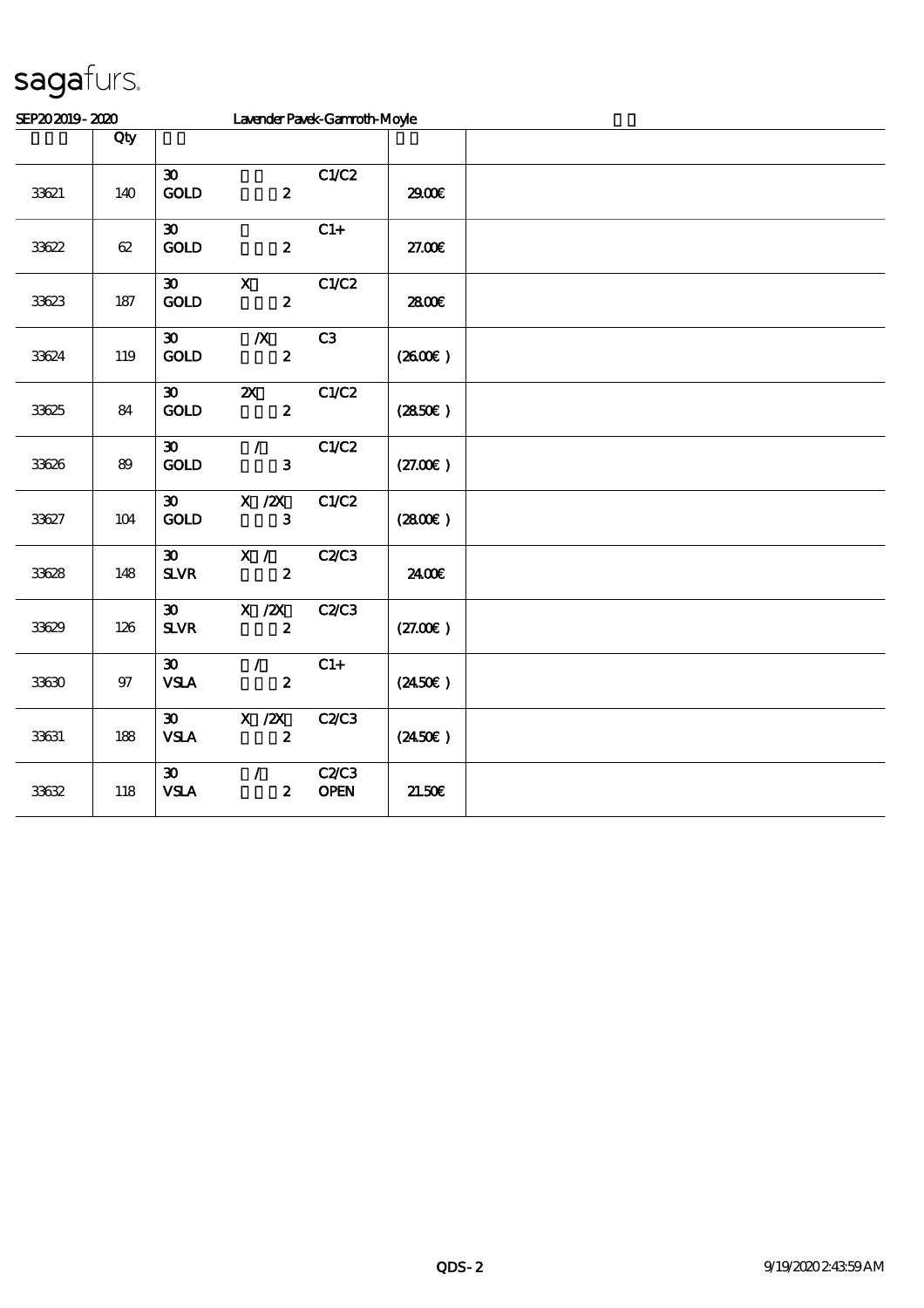| SEP202019-2020 |        | Lavender Pavek-Gannoth-Moyle                |                                               |                     |                  |  |
|----------------|--------|---------------------------------------------|-----------------------------------------------|---------------------|------------------|--|
|                | Qty    |                                             |                                               |                     |                  |  |
| 33621          | 140    | $\boldsymbol{\mathfrak{D}}$<br>GOLD         | $\boldsymbol{z}$                              | C1/C2               | 2900€            |  |
| 33622          | $62\,$ | $\boldsymbol{\mathfrak{D}}$<br>GOD          | $\boldsymbol{2}$                              | $C1+$               | 27.00E           |  |
| 33623          | 187    | $\boldsymbol{\mathfrak{D}}$<br>GOLD         | $\boldsymbol{\mathsf{X}}$<br>$\boldsymbol{2}$ | C1/C2               | 2800€            |  |
| 33624          | 119    | $\boldsymbol{\mathfrak{D}}$<br>GOLD         | $\boldsymbol{X}$<br>$\boldsymbol{2}$          | C3                  | (260E)           |  |
| 33625          | 84     | $\boldsymbol{\mathfrak{D}}$<br>GOLD         | $\boldsymbol{\mathsf{X}}$<br>$\pmb{2}$        | C1/C2               | (2850)           |  |
| 33626          | 89     | $\boldsymbol{\mathfrak{D}}$<br>GOLD         | $\mathcal{L}$<br>3                            | C1/C2               | (27.00)          |  |
| 33627          | 104    | $\boldsymbol{\mathfrak{D}}$<br>GOLD         | $X$ / $ZX$<br>$\mathbf{3}$                    | C1/C2               | (280)            |  |
| 33628          | 148    | $\boldsymbol{\mathfrak{D}}$<br><b>SLVR</b>  | X /<br>$\boldsymbol{2}$                       | C2C3                | 2400€            |  |
| 33629          | 126    | $\boldsymbol{\mathfrak{D}}$<br>$S\!L\!V\!R$ | X / ZX<br>$\boldsymbol{z}$                    | C2/C3               | (27.00)          |  |
| 33630          | $97\,$ | $\boldsymbol{\mathfrak{D}}$<br><b>VSLA</b>  | $\mathcal{L}$<br>$\boldsymbol{2}$             | $C1+$               | $(2450\epsilon)$ |  |
| 33631          | 188    | $\boldsymbol{\mathfrak{D}}$<br><b>VSLA</b>  | $X \, /ZX$<br>$\boldsymbol{2}$                | C2C3                | $(2450\epsilon)$ |  |
| 33632          | 118    | $\boldsymbol{\mathfrak{D}}$<br><b>VSLA</b>  | $\mathcal{L}$<br>$\pmb{2}$                    | C2C3<br><b>OPEN</b> | 21.50E           |  |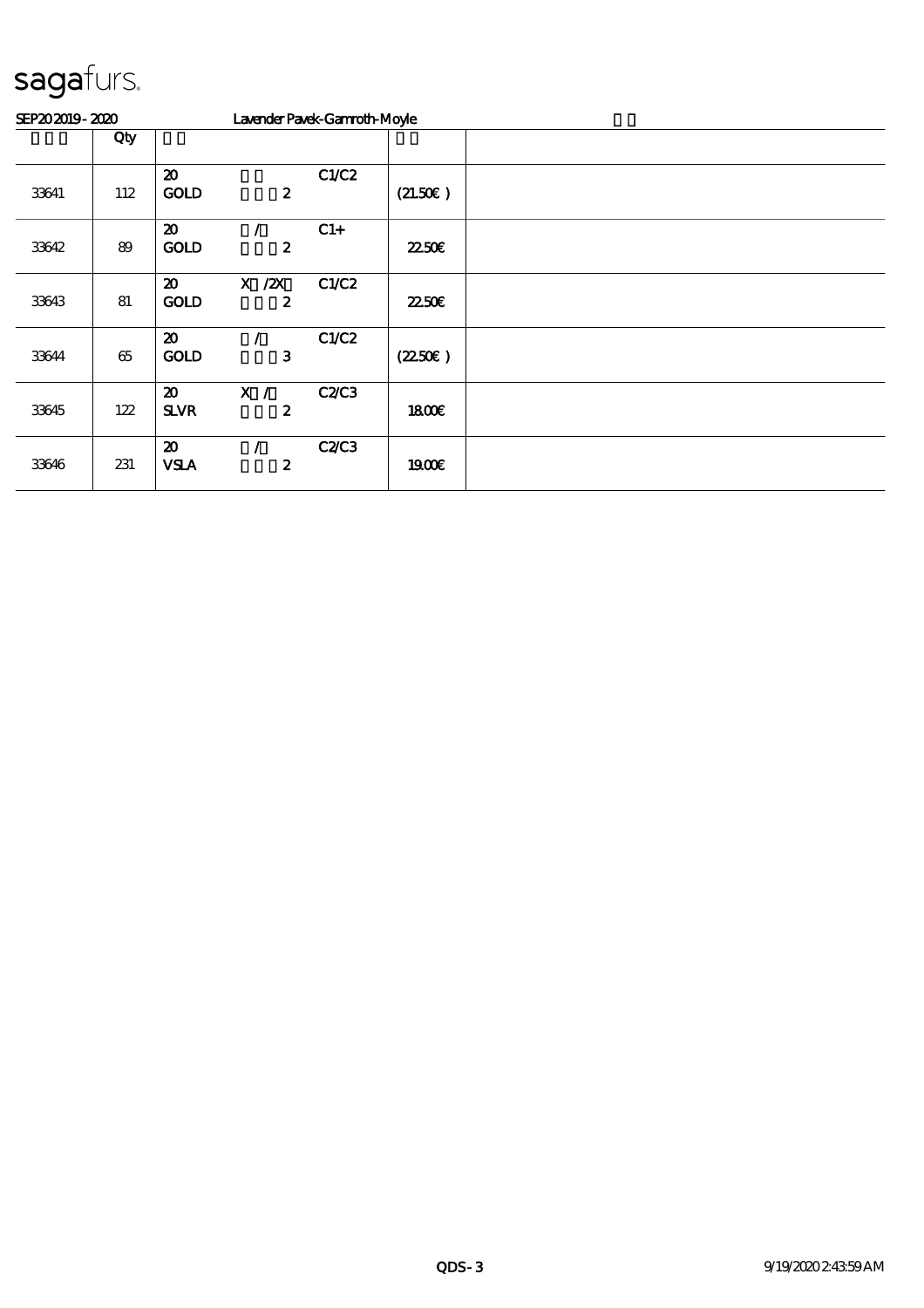| SEP202019-2020 |        |                                            | Lavender Pavek-Gannoth-Moyle   |       |         |  |
|----------------|--------|--------------------------------------------|--------------------------------|-------|---------|--|
|                | Qty    |                                            |                                |       |         |  |
| 33641          | 112    | $\boldsymbol{\mathbf{z}}$<br><b>GOLD</b>   | $\boldsymbol{z}$               | C1/C2 | (21.50) |  |
| 33642          | 89     | $\boldsymbol{\mathfrak{D}}$<br><b>GOLD</b> | $\boldsymbol{z}$               | $C1+$ | 2250E   |  |
| 33643          | 81     | $\boldsymbol{\mathfrak{D}}$<br><b>GOLD</b> | $X \, /ZX$<br>$\boldsymbol{z}$ | C1/C2 | 2250E   |  |
| 33644          | $65\,$ | $\boldsymbol{\mathfrak{D}}$<br><b>GOLD</b> | 3                              | C1/C2 | (2250)  |  |
| 33645          | 122    | $\boldsymbol{\mathfrak{D}}$<br><b>SLVR</b> | X /<br>2                       | C2C3  | 1800E   |  |
| 33646          | 231    | $\boldsymbol{\mathbf{z}}$<br><b>VSLA</b>   | $\boldsymbol{z}$               | C2C3  | 1900E   |  |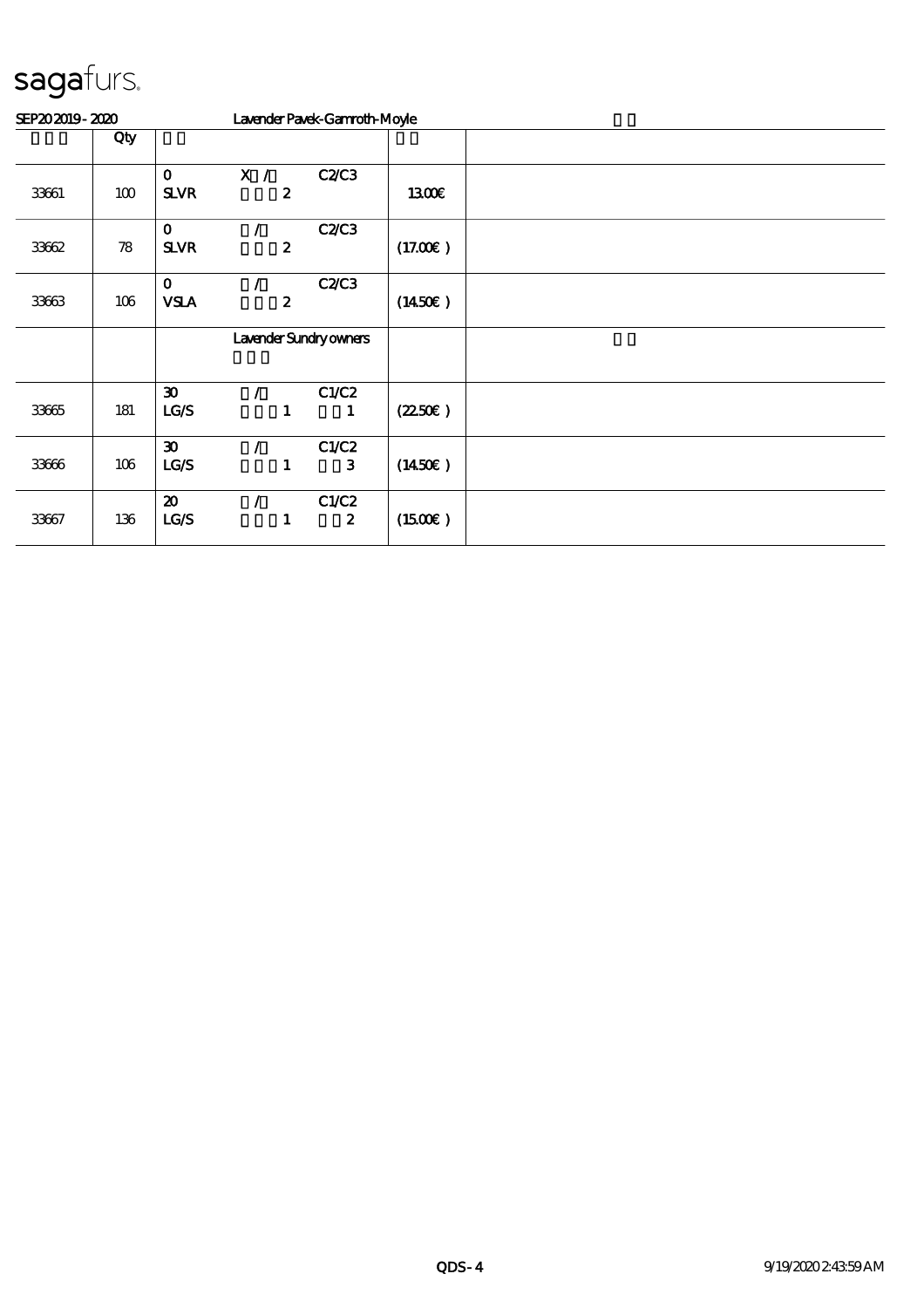| SEP202019-2020 |     |                                            |          |                  | Lavender Pavek-Gannoth-Moyle |                     |  |
|----------------|-----|--------------------------------------------|----------|------------------|------------------------------|---------------------|--|
|                | Qty |                                            |          |                  |                              |                     |  |
| 33661          | 100 | $\mathbf 0$<br><b>SLVR</b>                 | X /      | $\boldsymbol{2}$ | C2C3                         | <b>1300€</b>        |  |
| 33662          | 78  | $\mathbf 0$<br><b>SLVR</b>                 |          | $\boldsymbol{z}$ | C2C3                         | (17.00)             |  |
| 33663          | 106 | $\mathbf 0$<br><b>VSLA</b>                 |          | $\boldsymbol{z}$ | C2C3                         | $(1450\epsilon)$    |  |
|                |     | Lavender Sundryowners                      |          |                  |                              |                     |  |
| 33665          | 181 | $\boldsymbol{\mathfrak{D}}$<br>LG/S        |          | 1                | C1/C2<br>1                   | (2250)              |  |
| 33666          | 106 | $\boldsymbol{\mathfrak{D}}$<br>LG/S        | $\prime$ | 1                | C1/C2<br>$\mathbf{3}$        | $(1450\epsilon)$    |  |
| 33667          | 136 | $\boldsymbol{\mathfrak{D}}$<br><b>LC/S</b> |          | 1                | C1/C2<br>$\boldsymbol{z}$    | $(1500\varepsilon)$ |  |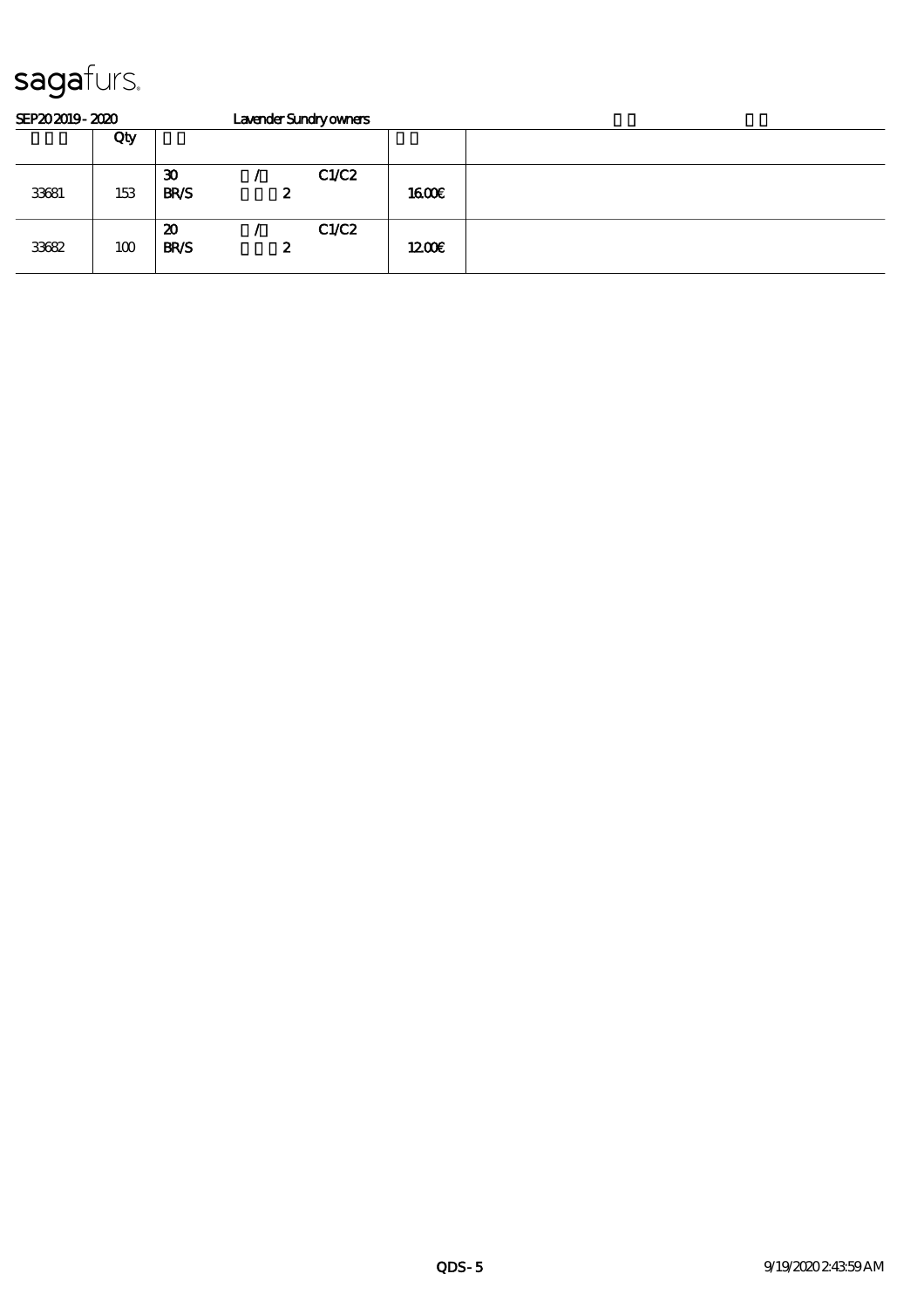| SEP202019-2020 |     |                                            |   | Lavender Sundryowners |       |  |
|----------------|-----|--------------------------------------------|---|-----------------------|-------|--|
|                | Qty |                                            |   |                       |       |  |
| 33681          | 153 | $\boldsymbol{\mathfrak{D}}$<br><b>BR/S</b> | 2 | C1/C2                 | 1600E |  |
| 33682          | 100 | $\boldsymbol{\mathfrak{D}}$<br><b>BR/S</b> | 2 | C1/C2                 | 1200E |  |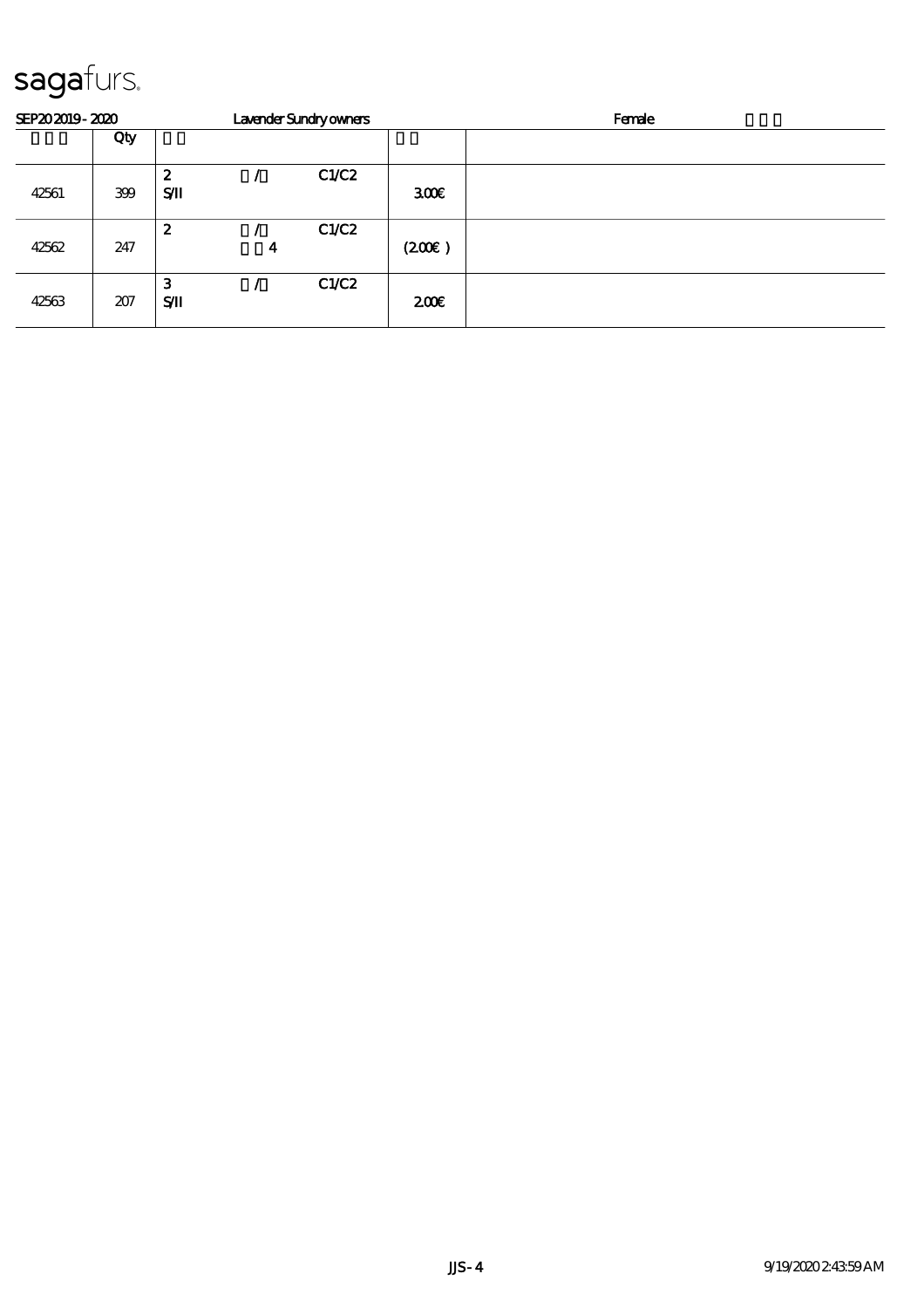| SEP202019-2020 |     |    |   | Lavender Sundryowners |       | Female |  |  |  |  |
|----------------|-----|----|---|-----------------------|-------|--------|--|--|--|--|
|                | Qty |    |   |                       |       |        |  |  |  |  |
|                |     | 2  |   | C1/C2                 |       |        |  |  |  |  |
| 42561          | 399 | SЛ |   |                       | 300   |        |  |  |  |  |
|                |     | 2  |   | C1/C2                 |       |        |  |  |  |  |
| 42562          | 247 |    | 4 |                       | (200) |        |  |  |  |  |
|                |     | З  |   | C1/C2                 |       |        |  |  |  |  |
| 42563          | 207 | SЛ |   |                       | 200E  |        |  |  |  |  |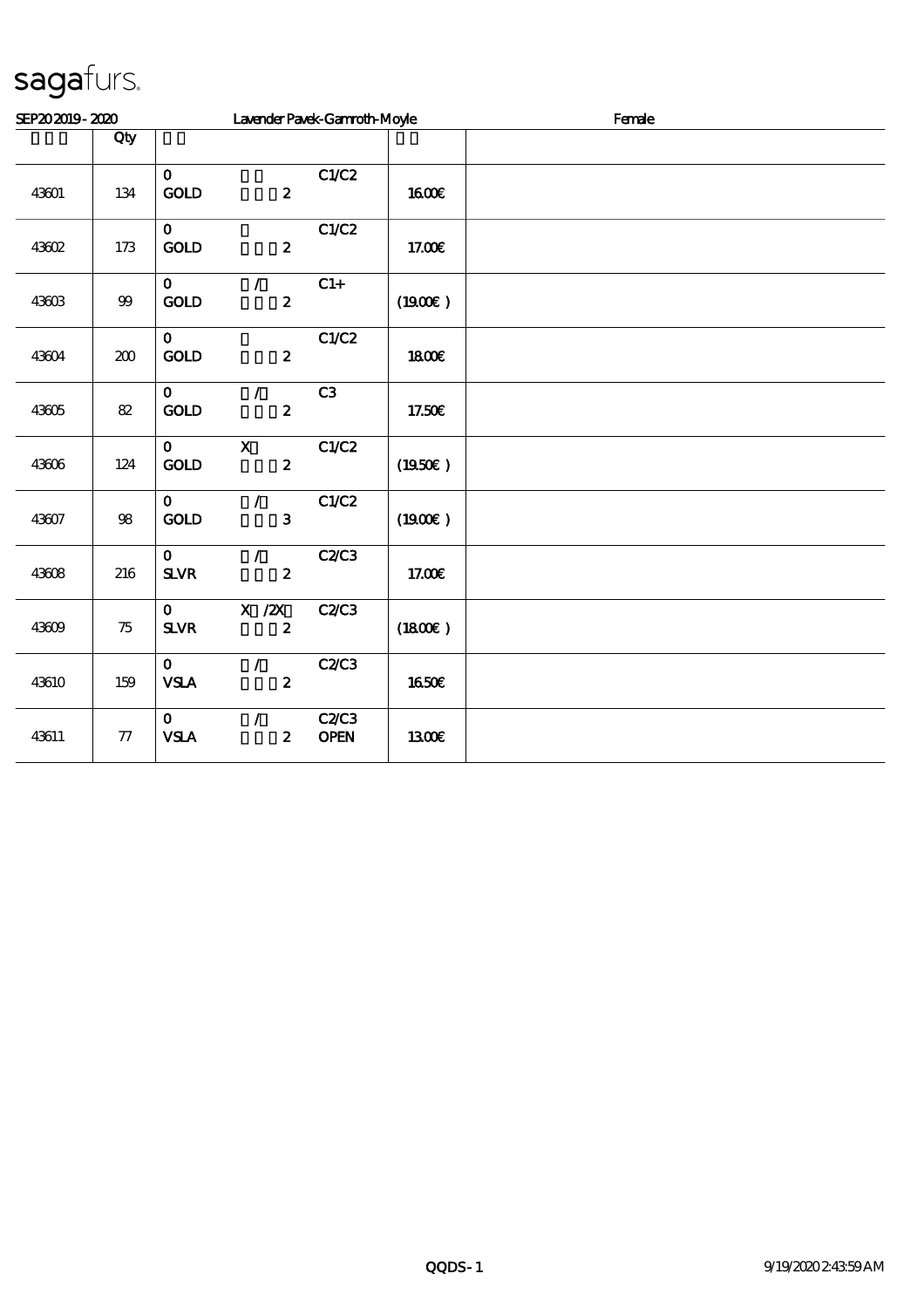| SEP202019-2020 |                  |                                 | Lavender Pavek-Gannoth-Moyle                  |                     |              | Female |
|----------------|------------------|---------------------------------|-----------------------------------------------|---------------------|--------------|--------|
|                | Qty              |                                 |                                               |                     |              |        |
| 43601          | 134              | $\mathbf{o}$<br>GOLD            | $\boldsymbol{z}$                              | C1/C2               | <b>1600€</b> |        |
| 43602          | 173              | $\mathbf{O}$<br><b>GOLD</b>     | $\boldsymbol{z}$                              | C1/C2               | 17.00€       |        |
| 43603          | $9\hskip-3.5pt9$ | $\mathbf{o}$<br>GOLD            | $\mathcal{L}$<br>$\mathbf{z}$                 | $C1+$               | (1900E)      |        |
| 43604          | 200              | $\mathbf{O}$<br><b>GOLD</b>     | $\boldsymbol{z}$                              | C1/C2               | <b>1800€</b> |        |
| 43605          | $8\!2$           | $\mathbf{O}$<br>$\mathbf{GOD}$  | $\mathcal{L}$<br>$\boldsymbol{2}$             | C3                  | 17.50€       |        |
| 43606          | 124              | $\mathbf{o}$<br>$\mathbf{GOLD}$ | $\boldsymbol{\mathrm{X}}$<br>$\boldsymbol{2}$ | C1/C2               | (1950E)      |        |
| 43607          | $98$             | $\mathbf{O}$<br>GOLD            | $\mathcal{L}$<br>3                            | C1/C2               | (1900E)      |        |
| 43608          | 216              | $\mathbf{o}$<br>$S\!L\!V\!R$    | $\mathcal{L}$<br>$\boldsymbol{2}$             | C2C3                | 17.00€       |        |
| 43609          | 75               | $\mathbf{o}$<br>$S\!L\!V\!R$    | X / ZX<br>$\boldsymbol{2}$                    | C2C3                | (1800)       |        |
| 43610          | 159              | $\mathbf{O}$<br>${\bf VSA}$     | $\mathcal{L}$<br>$\boldsymbol{2}$             | C2C3                | 1650€        |        |
| 43611          | $77\,$           | $\mathbf{O}$<br><b>VSLA</b>     | $\mathcal{L}$<br>$\boldsymbol{2}$             | C2C3<br><b>OPEN</b> | 1300E        |        |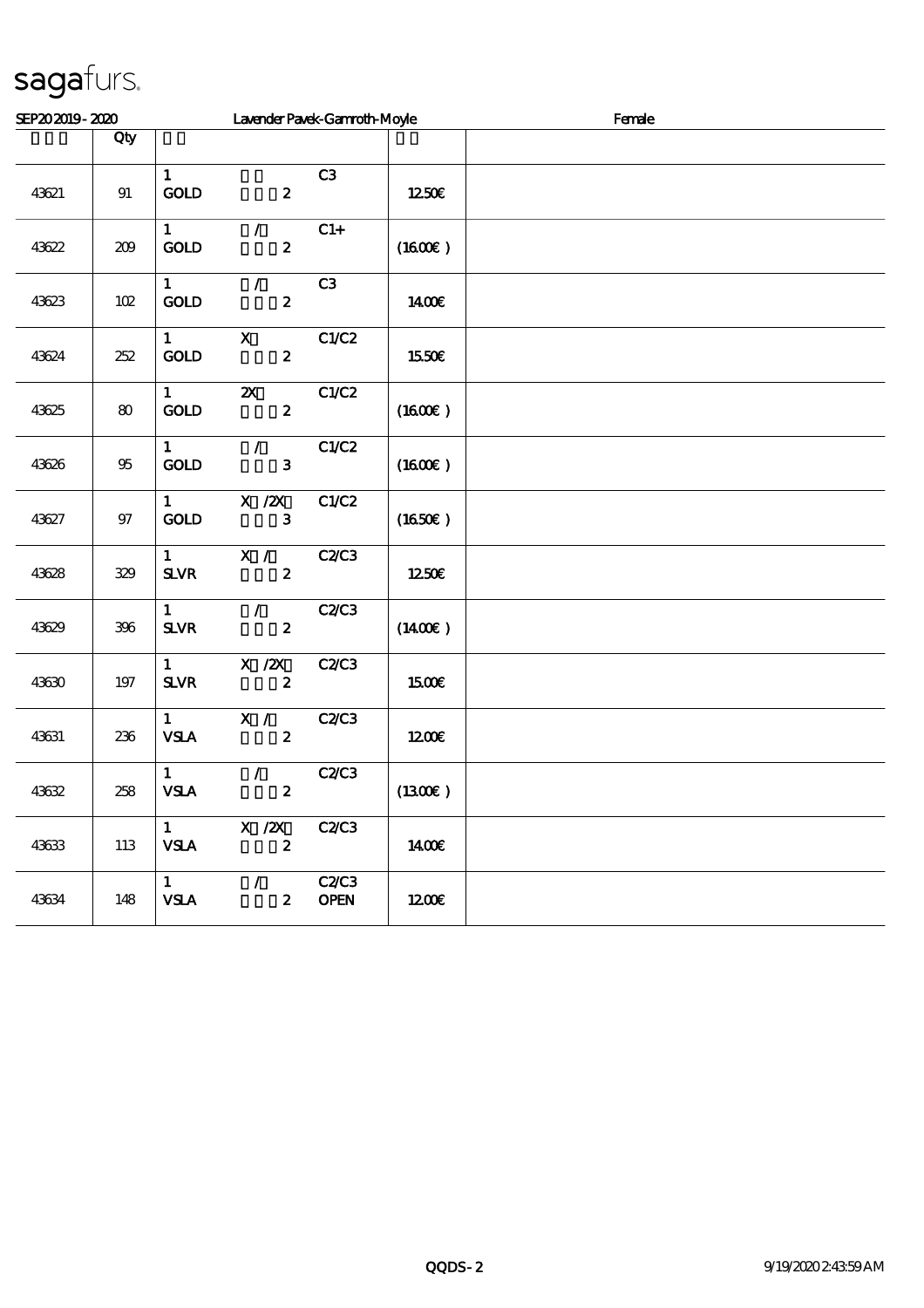| SEP202019-2020 |            | Lavender Pavek-Gannoth-Moyle             |                                               |                             | Female              |  |  |  |  |
|----------------|------------|------------------------------------------|-----------------------------------------------|-----------------------------|---------------------|--|--|--|--|
|                | Qty        |                                          |                                               |                             |                     |  |  |  |  |
| 43621          | 91         | $\mathbf{1}$<br>$\mathop{\rm GOD}$       | $\boldsymbol{z}$                              | C3                          | 1250€               |  |  |  |  |
| 43622          | 209        | $\mathbf{1}$<br>GOLD                     | $\mathcal{L}$<br>$\pmb{2}$                    | $C1+$                       | (1600)              |  |  |  |  |
| 43623          | $102$      | $\mathbf{1}$<br><b>GOLD</b>              | $\mathcal{L}$<br>$\boldsymbol{2}$             | C3                          | 1400€               |  |  |  |  |
| 43624          | 252        | $\mathbf{1}$<br>GOLD                     | $\mathbf X$<br>$\boldsymbol{z}$               | C1/C2                       | 1550€               |  |  |  |  |
| 43625          | $\pmb{80}$ | $\mathbf{1}$<br>GOD                      | $\boldsymbol{\mathsf{z}}$<br>$\boldsymbol{2}$ | C1/C2                       | (1600E)             |  |  |  |  |
| 43626          | $95\,$     | $\mathbf{1}$<br>GOLD                     | $\mathcal{L}$<br>3                            | C1/C2                       | $(1600\varepsilon)$ |  |  |  |  |
| 43627          | $97\,$     | $\mathbf{1}$<br>GOLD                     | $X \, /ZX$<br>3                               | C1/C2                       | (1650)              |  |  |  |  |
| 43628          | 329        | $\mathbf{1}$<br>$S\!L\!V\!R$             | X /<br>$\boldsymbol{z}$                       | C2C3                        | 1250E               |  |  |  |  |
| 43629          | 396        | $\mathbf 1$<br>$S\!L\!V\!R$              | $\mathcal{L}$<br>$\boldsymbol{z}$             | C2C3                        | $(1400\varepsilon)$ |  |  |  |  |
| 43630          | $197$      | $\mathbf{1}$<br>${\bf S\!L}\!{\bf V\!R}$ | X / ZX<br>$\boldsymbol{z}$                    | <b>C2/C3</b>                | 1500€               |  |  |  |  |
| 43631          | 236        | $\mathbf{1}$<br><b>VSLA</b>              | X /<br>$\pmb{2}$                              | C2C3                        | 1200                |  |  |  |  |
| 43632          | 258        | $\mathbf{1}$<br><b>VSLA</b>              | $\mathcal{L}$<br>$\boldsymbol{z}$             | C2C3                        | (1300E)             |  |  |  |  |
| 43633          | 113        | $\mathbf{1}$<br><b>VSLA</b>              | $X$ / $ZX$<br>$\boldsymbol{z}$                | <b>C2/C3</b>                | <b>140€</b>         |  |  |  |  |
| 43634          | 148        | $\mathbf{1}$<br><b>VSLA</b>              | $\mathcal{L}$<br>$\boldsymbol{2}$             | <b>C2/C3</b><br><b>OPEN</b> | 1200E               |  |  |  |  |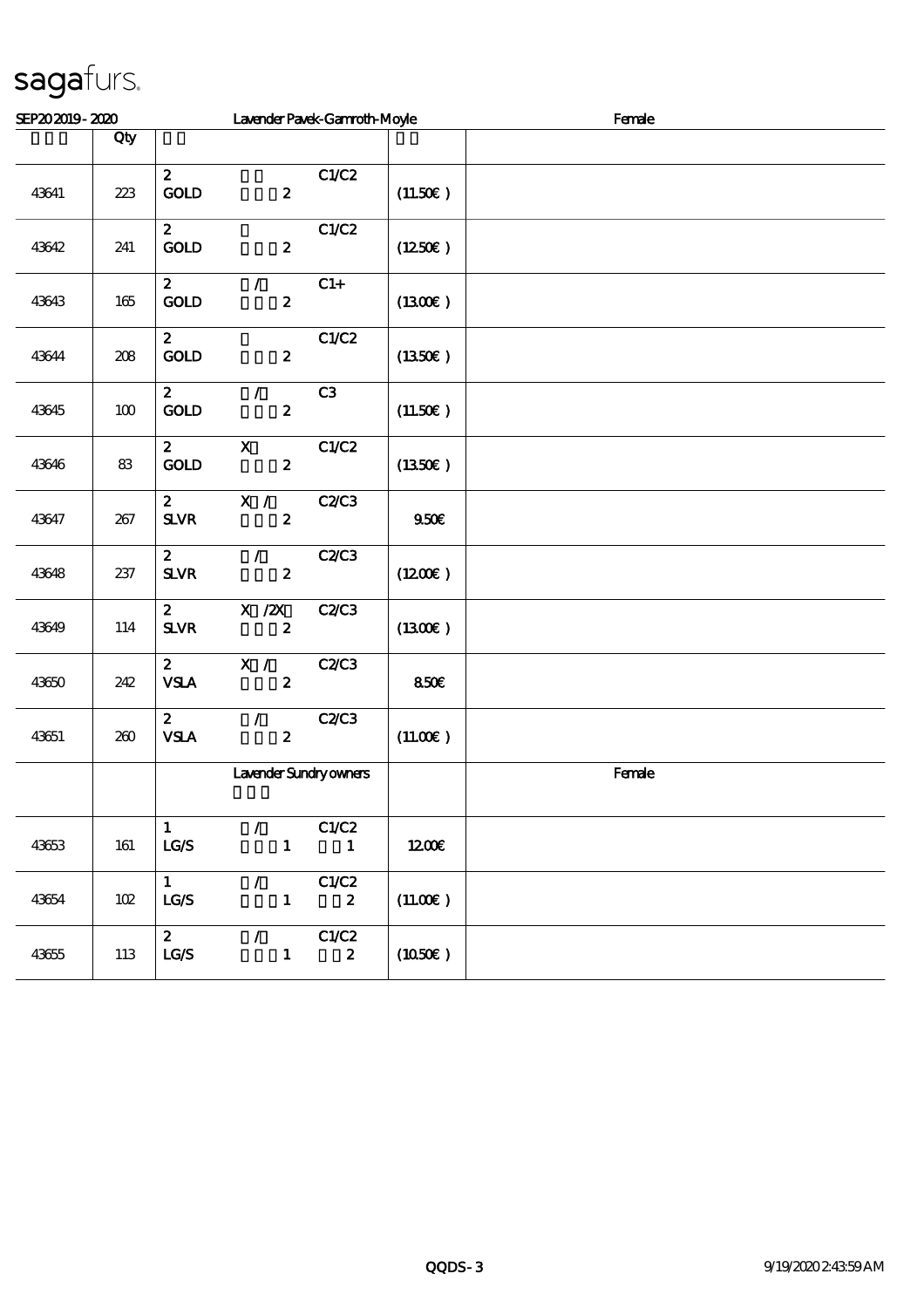| SEP202019-2020 |       |                                              |                                            | Lavender Pavek-Gannoth-Moyle |         | Female |
|----------------|-------|----------------------------------------------|--------------------------------------------|------------------------------|---------|--------|
|                | Qty   |                                              |                                            |                              |         |        |
| 43641          | 223   | $\mathbf{z}$<br>GOLD                         | $\boldsymbol{z}$                           | C1/C2                        | (11.50) |        |
| 43642          | 241   | $\boldsymbol{z}$<br>GOLD                     | $\boldsymbol{z}$                           | C1/C2                        | (1250E) |        |
| 43643          | 165   | $\boldsymbol{z}$<br>$\mathbf{GOLD}$          | $\mathcal{L}$<br>$\boldsymbol{z}$          | $C1+$                        | (1300)  |        |
| 43644          | $208$ | $\mathbf{z}$<br>GOLD                         | $\boldsymbol{z}$                           | C1/C2                        | (1350E) |        |
| 43645          | $100$ | $\mathbf{z}$<br><b>GOLD</b>                  | $\mathcal{L}$<br>$\boldsymbol{2}$          | C3                           | (11.50) |        |
| 43646          | 83    | $\mathbf{2}$<br><b>GOLD</b>                  | $\mathbf{x}$<br>$\boldsymbol{2}$           | C1/C2                        | (1350E) |        |
| 43647          | 267   | $\boldsymbol{z}$<br>${\bf S\!L}\!{\bf V\!R}$ | X /<br>$\boldsymbol{z}$                    | C2C3                         | 950E    |        |
| 43648          | 237   | $\boldsymbol{z}$<br>$S\!L\!V\!R$             | $\mathcal{L}$<br>$\boldsymbol{z}$          | C2/C3                        | (1200E) |        |
| 43649          | 114   | $\boldsymbol{z}$<br>$S\!L\!V\!R$             | X / ZX<br>$\boldsymbol{z}$                 | C2/C3                        | (1300)  |        |
| 43650          | 242   | $\boldsymbol{z}$<br><b>VSLA</b>              | X /<br>$\boldsymbol{z}$                    | C2/C3                        | 850E    |        |
| 43651          | 260   | $\mathbf{z}$<br>${\bf VSA}$                  | $\mathcal{F}^{\mathbb{R}}$<br>$\mathbf{z}$ | C2C3                         | (11.00) |        |
|                |       |                                              | Lavender Sundryowners                      |                              |         | Female |
| 43653          | 161   | $\mathbf{1}$<br>$\mathbf{LG}\mathcal{S}$     | $\mathcal{L}$<br>$\mathbf 1$               | C1/C2<br>$\mathbf{1}$        | 1200E   |        |
| 43654          | 102   | $\mathbf{1}$<br>LGS                          | $\mathcal{L}$<br>$\mathbf 1$               | C1/C2<br>$\boldsymbol{z}$    | (11.00) |        |
| 43655          | 113   | $\boldsymbol{z}$<br>$_{\rm LGS}$             | $\mathcal{L}$<br>$\mathbf{1}$              | C1/C2<br>$\boldsymbol{z}$    | (1050)  |        |